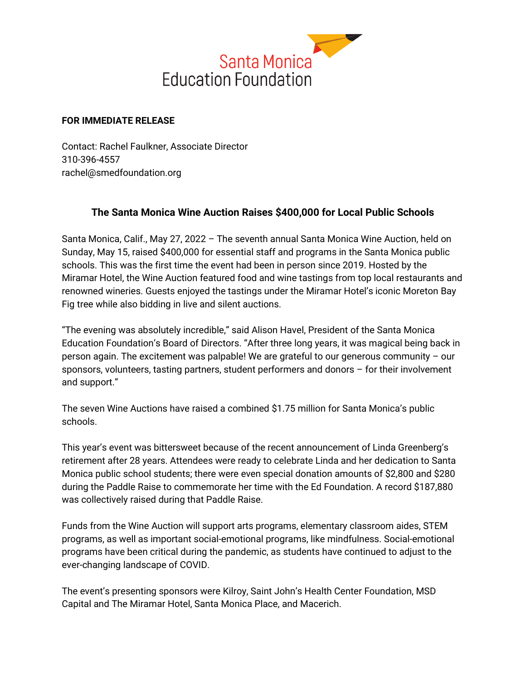

## **FOR IMMEDIATE RELEASE**

Contact: Rachel Faulkner, Associate Director 310-396-4557 rachel@smedfoundation.org

## **The Santa Monica Wine Auction Raises \$400,000 for Local Public Schools**

Santa Monica, Calif., May 27, 2022 – The seventh annual Santa Monica Wine Auction, held on Sunday, May 15, raised \$400,000 for essential staff and programs in the Santa Monica public schools. This was the first time the event had been in person since 2019. Hosted by the Miramar Hotel, the Wine Auction featured food and wine tastings from top local restaurants and renowned wineries. Guests enjoyed the tastings under the Miramar Hotel's iconic Moreton Bay Fig tree while also bidding in live and silent auctions.

"The evening was absolutely incredible," said Alison Havel, President of the Santa Monica Education Foundation's Board of Directors. "After three long years, it was magical being back in person again. The excitement was palpable! We are grateful to our generous community – our sponsors, volunteers, tasting partners, student performers and donors – for their involvement and support."

The seven Wine Auctions have raised a combined \$1.75 million for Santa Monica's public schools.

This year's event was bittersweet because of the recent announcement of Linda Greenberg's retirement after 28 years. Attendees were ready to celebrate Linda and her dedication to Santa Monica public school students; there were even special donation amounts of \$2,800 and \$280 during the Paddle Raise to commemorate her time with the Ed Foundation. A record \$187,880 was collectively raised during that Paddle Raise.

Funds from the Wine Auction will support arts programs, elementary classroom aides, STEM programs, as well as important social-emotional programs, like mindfulness. Social-emotional programs have been critical during the pandemic, as students have continued to adjust to the ever-changing landscape of COVID.

The event's presenting sponsors were Kilroy, Saint John's Health Center Foundation, MSD Capital and The Miramar Hotel, Santa Monica Place, and Macerich.